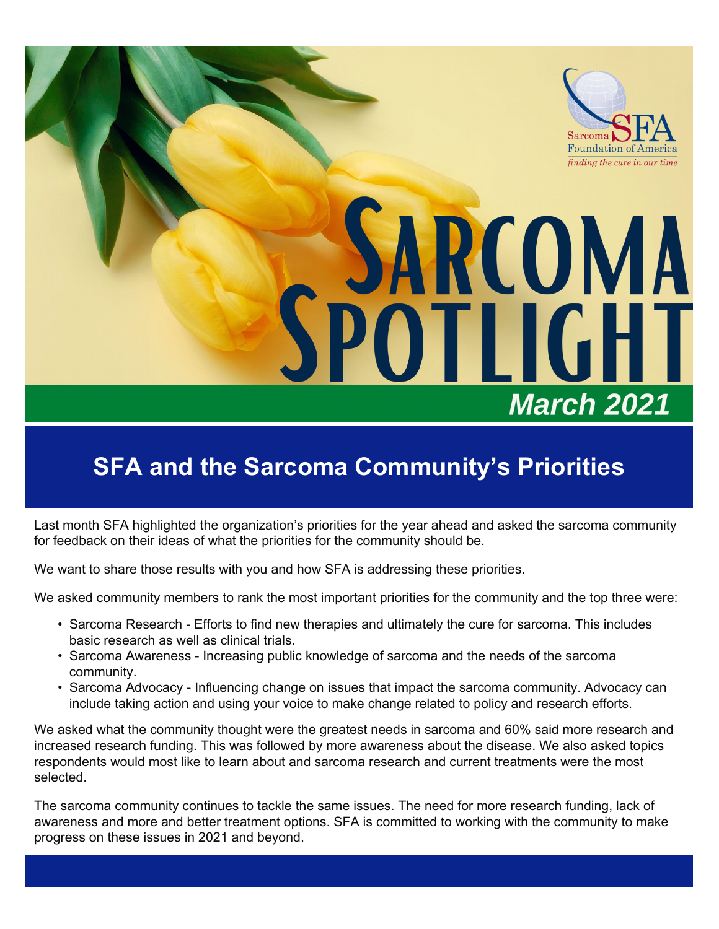

# **SARCOMA OTLIGHT March 2021**

## **SFA and the Sarcoma Community's Priorities**

Last month SFA highlighted the organization's priorities for the year ahead and asked the sarcoma community for feedback on their ideas of what the priorities for the community should be.

We want to share those results with you and how SFA is addressing these priorities.

We asked community members to rank the most important priorities for the community and the top three were:

- Sarcoma Research Efforts to find new therapies and ultimately the cure for sarcoma. This includes basic research as well as clinical trials.
- Sarcoma Awareness Increasing public knowledge of sarcoma and the needs of the sarcoma community.
- Sarcoma Advocacy Influencing change on issues that impact the sarcoma community. Advocacy can include taking action and using your voice to make change related to policy and research efforts.

We asked what the community thought were the greatest needs in sarcoma and 60% said more research and increased research funding. This was followed by more awareness about the disease. We also asked topics respondents would most like to learn about and sarcoma research and current treatments were the most selected.

The sarcoma community continues to tackle the same issues. The need for more research funding, lack of awareness and more and better treatment options. SFA is committed to working with the community to make progress on these issues in 2021 and beyond.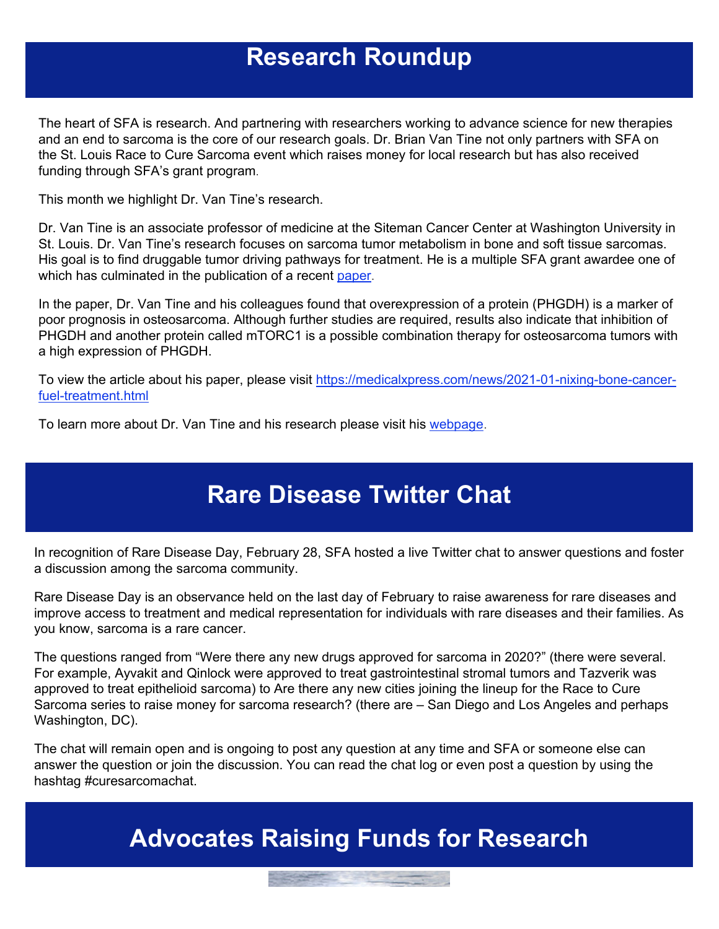#### **Research Roundup**

The heart of SFA is research. And partnering with researchers working to advance science for new therapies and an end to sarcoma is the core of our research goals. Dr. Brian Van Tine not only partners with SFA on the St. Louis Race to Cure Sarcoma event which raises money for local research but has also received funding through SFA's grant program.

This month we highlight Dr. Van Tine's research.

Dr. Van Tine is an associate professor of medicine at the Siteman Cancer Center at Washington University in St. Louis. Dr. Van Tine's research focuses on sarcoma tumor metabolism in bone and soft tissue sarcomas. His goal is to find druggable tumor driving pathways for treatment. He is a multiple SFA grant awardee one of which has culminated in the publication of a recent paper.

In the paper, Dr. Van Tine and his colleagues found that overexpression of a protein (PHGDH) is a marker of poor prognosis in osteosarcoma. Although further studies are required, results also indicate that inhibition of PHGDH and another protein called mTORC1 is a possible combination therapy for osteosarcoma tumors with a high expression of PHGDH.

To view the article about his paper, please visit https://medicalxpress.com/news/2021-01-nixing-bone-cancerfuel-treatment.html

To learn more about Dr. Van Tine and his research please visit his webpage.

#### **Rare Disease Twitter Chat**

In recognition of Rare Disease Day, February 28, SFA hosted a live Twitter chat to answer questions and foster a discussion among the sarcoma community.

Rare Disease Day is an observance held on the last day of February to raise awareness for rare diseases and improve access to treatment and medical representation for individuals with rare diseases and their families. As you know, sarcoma is a rare cancer.

The questions ranged from "Were there any new drugs approved for sarcoma in 2020?" (there were several. For example, Ayvakit and Qinlock were approved to treat gastrointestinal stromal tumors and Tazverik was approved to treat epithelioid sarcoma) to Are there any new cities joining the lineup for the Race to Cure Sarcoma series to raise money for sarcoma research? (there are – San Diego and Los Angeles and perhaps Washington, DC).

The chat will remain open and is ongoing to post any question at any time and SFA or someone else can answer the question or join the discussion. You can read the chat log or even post a question by using the hashtag #curesarcomachat.

### **Advocates Raising Funds for Research**

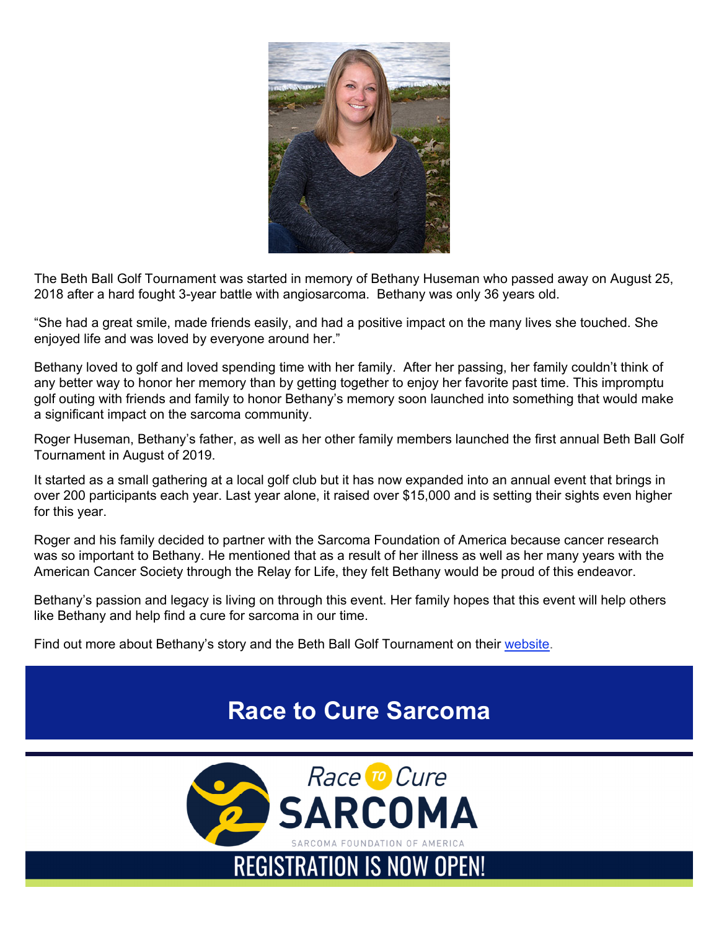

The Beth Ball Golf Tournament was started in memory of Bethany Huseman who passed away on August 25, 2018 after a hard fought 3-year battle with angiosarcoma. Bethany was only 36 years old.

"She had a great smile, made friends easily, and had a positive impact on the many lives she touched. She enjoyed life and was loved by everyone around her."

Bethany loved to golf and loved spending time with her family. After her passing, her family couldn't think of any better way to honor her memory than by getting together to enjoy her favorite past time. This impromptu golf outing with friends and family to honor Bethany's memory soon launched into something that would make a significant impact on the sarcoma community.

Roger Huseman, Bethany's father, as well as her other family members launched the first annual Beth Ball Golf Tournament in August of 2019.

It started as a small gathering at a local golf club but it has now expanded into an annual event that brings in over 200 participants each year. Last year alone, it raised over \$15,000 and is setting their sights even higher for this year.

Roger and his family decided to partner with the Sarcoma Foundation of America because cancer research was so important to Bethany. He mentioned that as a result of her illness as well as her many years with the American Cancer Society through the Relay for Life, they felt Bethany would be proud of this endeavor.

Bethany's passion and legacy is living on through this event. Her family hopes that this event will help others like Bethany and help find a cure for sarcoma in our time.

Find out more about Bethany's story and the Beth Ball Golf Tournament on their website.

#### **Race to Cure Sarcoma**